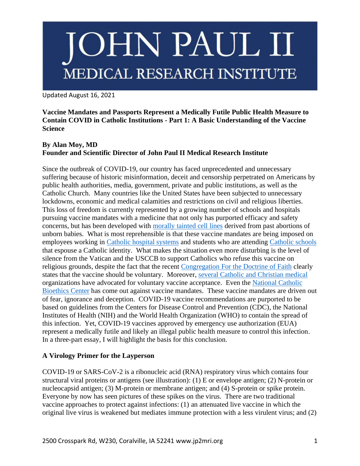# JOHN PAUL II MEDICAL RESEARCH INSTITUTE

Updated August 16, 2021

**Vaccine Mandates and Passports Represent a Medically Futile Public Health Measure to Contain COVID in Catholic Institutions - Part 1: A Basic Understanding of the Vaccine Science**

### **By Alan Moy, MD Founder and Scientific Director of John Paul II Medical Research Institute**

Since the outbreak of COVID-19, our country has faced unprecedented and unnecessary suffering because of historic misinformation, deceit and censorship perpetrated on Americans by public health authorities, media, government, private and public institutions, as well as the Catholic Church. Many countries like the United States have been subjected to unnecessary lockdowns, economic and medical calamities and restrictions on civil and religious liberties. This loss of freedom is currently represented by a growing number of schools and hospitals pursuing vaccine mandates with a medicine that not only has purported efficacy and safety concerns, but has been developed with [morally tainted cell lines](https://lozierinstitute.org/what-you-need-to-know-about-the-covid-19-vaccine/) derived from past abortions of unborn babies. What is most reprehensible is that these vaccine mandates are being imposed on employees working in [Catholic hospital systems](https://www.ssmhealth.com/newsroom/2021/6/ssm-health-urges-vaccine-and-requires-employees) and students who are attending [Catholic schools](https://news.nd.edu/news/notre-dame-to-require-students-to-be-vaccinated-for-covid-19-beginning-with-fall-2021-semester/) that espouse a Catholic identity. What makes the situation even more disturbing is the level of silence from the Vatican and the USCCB to support Catholics who refuse this vaccine on religious grounds, despite the fact that the recent [Congregation For the Doctrine of Faith](https://www.vatican.va/roman_curia/congregations/cfaith/documents/rc_con_cfaith_doc_20201221_nota-vaccini-anticovid_en.html) clearly states that the vaccine should be voluntary. Moreover, [several Catholic and Christian medical](https://acpeds.org/press/joint-statement-on-vaccines-and-conscience-protection) organizations have advocated for voluntary vaccine acceptance. Even the [National Catholic](https://www.ncbcenter.org/ncbc-news/vaccinemandatestatement)  [Bioethics Center](https://www.ncbcenter.org/ncbc-news/vaccinemandatestatement) has come out against vaccine mandates. These vaccine mandates are driven out of fear, ignorance and deception. COVID-19 vaccine recommendations are purported to be based on guidelines from the Centers for Disease Control and Prevention (CDC), the National Institutes of Health (NIH) and the World Health Organization (WHO) to contain the spread of this infection. Yet, COVID-19 vaccines approved by emergency use authorization (EUA) represent a medically futile and likely an illegal public health measure to control this infection. In a three-part essay, I will highlight the basis for this conclusion.

### **A Virology Primer for the Layperson**

COVID-19 or SARS-CoV-2 is a ribonucleic acid (RNA) respiratory virus which contains four structural viral proteins or antigens (see illustration): (1) E or envelope antigen; (2) N-protein or nucleocapsid antigen; (3) M-protein or membrane antigen; and (4) S-protein or spike protein. Everyone by now has seen pictures of these spikes on the virus. There are two traditional vaccine approaches to protect against infections: (1) an attenuated live vaccine in which the original live virus is weakened but mediates immune protection with a less virulent virus; and (2)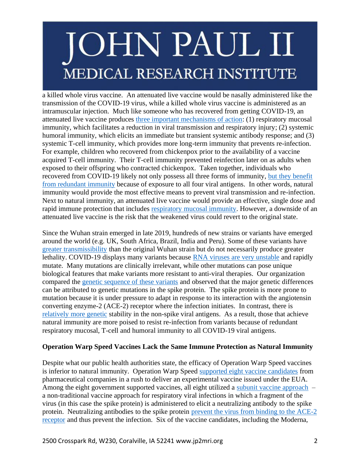## **JOHN PAUL II** MEDICAL RESEARCH INSTITUTE

a killed whole virus vaccine. An attenuated live vaccine would be nasally administered like the transmission of the COVID-19 virus, while a killed whole virus vaccine is administered as an intramuscular injection. Much like someone who has recovered from getting COVID-19, an attenuated live vaccine produces [three important mechanisms of action:](https://www.nature.com/articles/nri1777) (1) respiratory mucosal immunity, which facilitates a reduction in viral transmission and respiratory injury; (2) systemic humoral immunity, which elicits an immediate but transient systemic antibody response; and (3) systemic T-cell immunity, which provides more long-term immunity that prevents re-infection. For example, children who recovered from chickenpox prior to the availability of a vaccine acquired T-cell immunity. Their T-cell immunity prevented reinfection later on as adults when exposed to their offspring who contracted chickenpox. Taken together, individuals who recovered from COVID-19 likely not only possess all three forms of immunity, [but they benefit](https://www.ncbi.nlm.nih.gov/pmc/articles/PMC7551521/)  [from redundant immunity](https://www.ncbi.nlm.nih.gov/pmc/articles/PMC7551521/) because of exposure to all four viral antigens. In other words, natural immunity would provide the most effective means to prevent viral transmission and re-infection. Next to natural immunity, an attenuated live vaccine would provide an effective, single dose and rapid immune protection that includes [respiratory mucosal immunity.](https://www.nature.com/articles/nri1777) However, a downside of an attenuated live vaccine is the risk that the weakened virus could revert to the original state.

Since the Wuhan strain emerged in late 2019, hundreds of new strains or variants have emerged around the world (e.g. UK, South Africa, Brazil, India and Peru). Some of these variants have [greater transmissibility](https://www.cdc.gov/coronavirus/2019-ncov/variants/variant.html) than the original Wuhan strain but do not necessarily produce greater lethality. COVID-19 displays many variants because [RNA viruses are very unstable](https://www.ncbi.nlm.nih.gov/pmc/articles/PMC7149711/) and rapidly mutate. Many mutations are clinically irrelevant, while other mutations can pose unique biological features that make variants more resistant to anti-viral therapies. Our organization compared the [genetic sequence of these variants](https://www.ncbi.nlm.nih.gov/genbank/) and observed that the major genetic differences can be attributed to genetic mutations in the spike protein. The spike protein is more prone to mutation because it is under pressure to adapt in response to its interaction with the angiotensin converting enzyme-2 (ACE-2) receptor where the infection initiates. In contrast, there is [relatively more genetic](https://www.ncbi.nlm.nih.gov/genbank/) stability in the non-spike viral antigens. As a result, those that achieve natural immunity are more poised to resist re-infection from variants because of redundant respiratory mucosal, T-cell and humoral immunity to all COVID-19 viral antigens.

### **Operation Warp Speed Vaccines Lack the Same Immune Protection as Natural Immunity**

Despite what our public health authorities state, the efficacy of Operation Warp Speed vaccines is inferior to natural immunity. Operation Warp Speed [supported eight vaccine candidates](https://www.thelancet.com/journals/langlo/article/PIIS2214-109X(21)00140-6/fulltext) from pharmaceutical companies in a rush to deliver an experimental vaccine issued under the EUA. Among the eight government supported vaccines, all eight utilized a [subunit vaccine approach](https://pubmed.ncbi.nlm.nih.gov/32800805/) – a non-traditional vaccine approach for respiratory viral infections in which a fragment of the virus (in this case the spike protein) is administered to elicit a neutralizing antibody to the spike protein. Neutralizing antibodies to the spike protein [prevent the virus from binding to the ACE-2](https://www.nature.com/articles/s41467-021-22958-8)  [receptor](https://www.nature.com/articles/s41467-021-22958-8) and thus prevent the infection. Six of the vaccine candidates, including the Moderna,